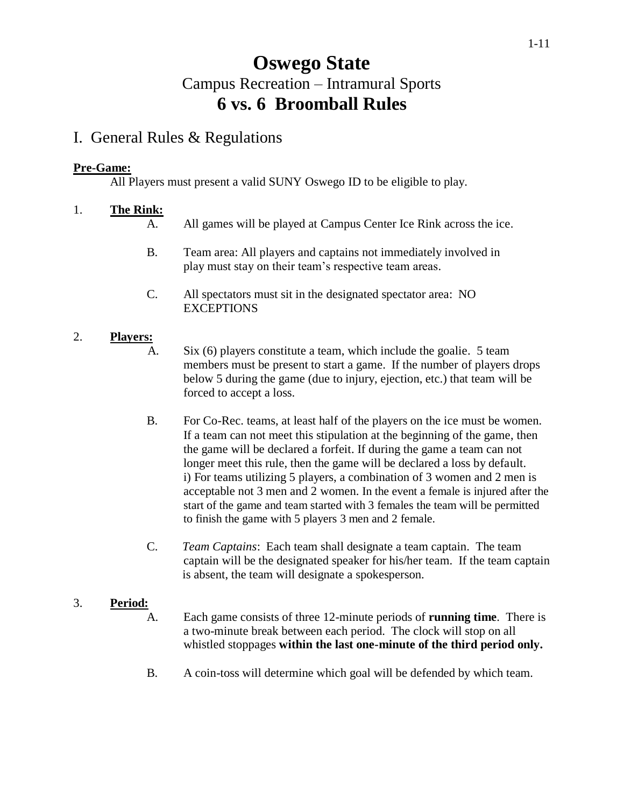# **Oswego State** Campus Recreation – Intramural Sports **6 vs. 6 Broomball Rules**

## I. General Rules & Regulations

### **Pre-Game:**

All Players must present a valid SUNY Oswego ID to be eligible to play.

### 1. **The Rink:**

- A. All games will be played at Campus Center Ice Rink across the ice.
- B. Team area: All players and captains not immediately involved in play must stay on their team's respective team areas.
- C. All spectators must sit in the designated spectator area: NO **EXCEPTIONS**

### 2. **Players:**

- A. Six (6) players constitute a team, which include the goalie. 5 team members must be present to start a game. If the number of players drops below 5 during the game (due to injury, ejection, etc.) that team will be forced to accept a loss.
- B. For Co-Rec. teams, at least half of the players on the ice must be women. If a team can not meet this stipulation at the beginning of the game, then the game will be declared a forfeit. If during the game a team can not longer meet this rule, then the game will be declared a loss by default. i) For teams utilizing 5 players, a combination of 3 women and 2 men is acceptable not 3 men and 2 women. In the event a female is injured after the start of the game and team started with 3 females the team will be permitted to finish the game with 5 players 3 men and 2 female.
- C. *Team Captains*: Each team shall designate a team captain. The team captain will be the designated speaker for his/her team. If the team captain is absent, the team will designate a spokesperson.

## 3. **Period:**

- A. Each game consists of three 12-minute periods of **running time**. There is a two-minute break between each period. The clock will stop on all whistled stoppages **within the last one-minute of the third period only.**
- B. A coin-toss will determine which goal will be defended by which team.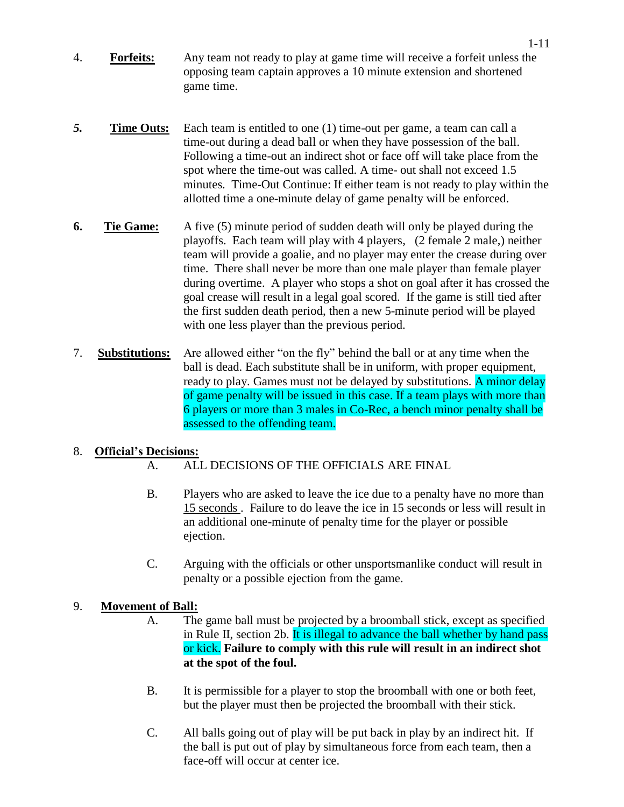- 4. **Forfeits:** Any team not ready to play at game time will receive a forfeit unless the opposing team captain approves a 10 minute extension and shortened game time.
- **5. Time Outs:** Each team is entitled to one (1) time-out per game, a team can call a time-out during a dead ball or when they have possession of the ball. Following a time-out an indirect shot or face off will take place from the spot where the time-out was called. A time- out shall not exceed 1.5 minutes. Time-Out Continue: If either team is not ready to play within the allotted time a one-minute delay of game penalty will be enforced.
- **6. Tie Game:** A five (5) minute period of sudden death will only be played during the playoffs. Each team will play with 4 players, (2 female 2 male,) neither team will provide a goalie, and no player may enter the crease during over time. There shall never be more than one male player than female player during overtime. A player who stops a shot on goal after it has crossed the goal crease will result in a legal goal scored. If the game is still tied after the first sudden death period, then a new 5-minute period will be played with one less player than the previous period.
- 7. **Substitutions:** Are allowed either "on the fly" behind the ball or at any time when the ball is dead. Each substitute shall be in uniform, with proper equipment, ready to play. Games must not be delayed by substitutions. A minor delay of game penalty will be issued in this case. If a team plays with more than 6 players or more than 3 males in Co-Rec, a bench minor penalty shall be assessed to the offending team.

### 8. **Official's Decisions:**

- A. ALL DECISIONS OF THE OFFICIALS ARE FINAL
- B. Players who are asked to leave the ice due to a penalty have no more than 15 seconds . Failure to do leave the ice in 15 seconds or less will result in an additional one-minute of penalty time for the player or possible ejection.
- C. Arguing with the officials or other unsportsmanlike conduct will result in penalty or a possible ejection from the game.

### 9. **Movement of Ball:**

- A. The game ball must be projected by a broomball stick, except as specified in Rule II, section 2b. It is illegal to advance the ball whether by hand pass or kick. **Failure to comply with this rule will result in an indirect shot at the spot of the foul.**
- B. It is permissible for a player to stop the broomball with one or both feet, but the player must then be projected the broomball with their stick.
- C. All balls going out of play will be put back in play by an indirect hit. If the ball is put out of play by simultaneous force from each team, then a face-off will occur at center ice.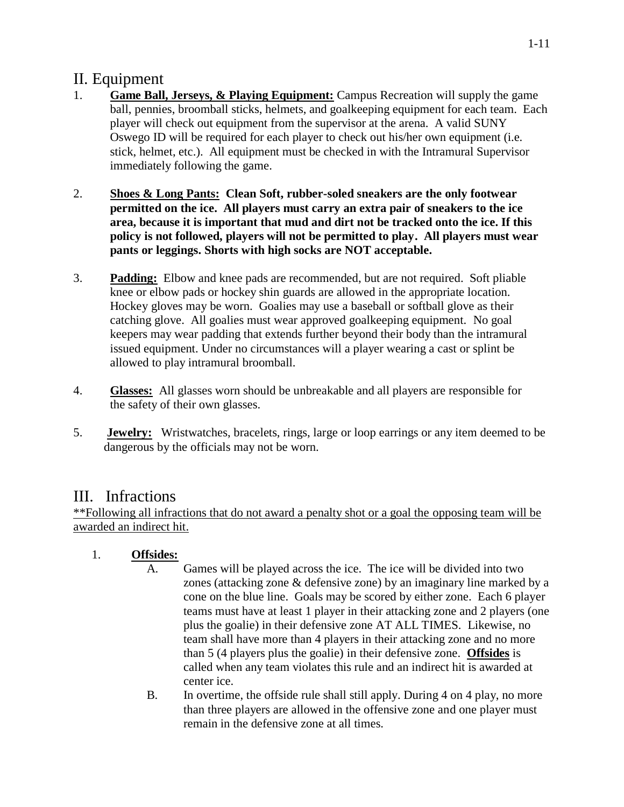## II. Equipment

- 1. **Game Ball, Jerseys, & Playing Equipment:** Campus Recreation will supply the game ball, pennies, broomball sticks, helmets, and goalkeeping equipment for each team. Each player will check out equipment from the supervisor at the arena. A valid SUNY Oswego ID will be required for each player to check out his/her own equipment (i.e. stick, helmet, etc.). All equipment must be checked in with the Intramural Supervisor immediately following the game.
- 2. **Shoes & Long Pants: Clean Soft, rubber-soled sneakers are the only footwear permitted on the ice. All players must carry an extra pair of sneakers to the ice area, because it is important that mud and dirt not be tracked onto the ice. If this policy is not followed, players will not be permitted to play. All players must wear pants or leggings. Shorts with high socks are NOT acceptable.**
- 3. **Padding:** Elbow and knee pads are recommended, but are not required. Soft pliable knee or elbow pads or hockey shin guards are allowed in the appropriate location. Hockey gloves may be worn. Goalies may use a baseball or softball glove as their catching glove. All goalies must wear approved goalkeeping equipment. No goal keepers may wear padding that extends further beyond their body than the intramural issued equipment. Under no circumstances will a player wearing a cast or splint be allowed to play intramural broomball.
- 4. **Glasses:** All glasses worn should be unbreakable and all players are responsible for the safety of their own glasses.
- 5. **Jewelry:** Wristwatches, bracelets, rings, large or loop earrings or any item deemed to be dangerous by the officials may not be worn.

## III. Infractions

\*\*Following all infractions that do not award a penalty shot or a goal the opposing team will be awarded an indirect hit.

- 1. **Offsides:**
	- A. Games will be played across the ice. The ice will be divided into two zones (attacking zone & defensive zone) by an imaginary line marked by a cone on the blue line. Goals may be scored by either zone. Each 6 player teams must have at least 1 player in their attacking zone and 2 players (one plus the goalie) in their defensive zone AT ALL TIMES. Likewise, no team shall have more than 4 players in their attacking zone and no more than 5 (4 players plus the goalie) in their defensive zone. **Offsides** is called when any team violates this rule and an indirect hit is awarded at center ice.
	- B. In overtime, the offside rule shall still apply. During 4 on 4 play, no more than three players are allowed in the offensive zone and one player must remain in the defensive zone at all times.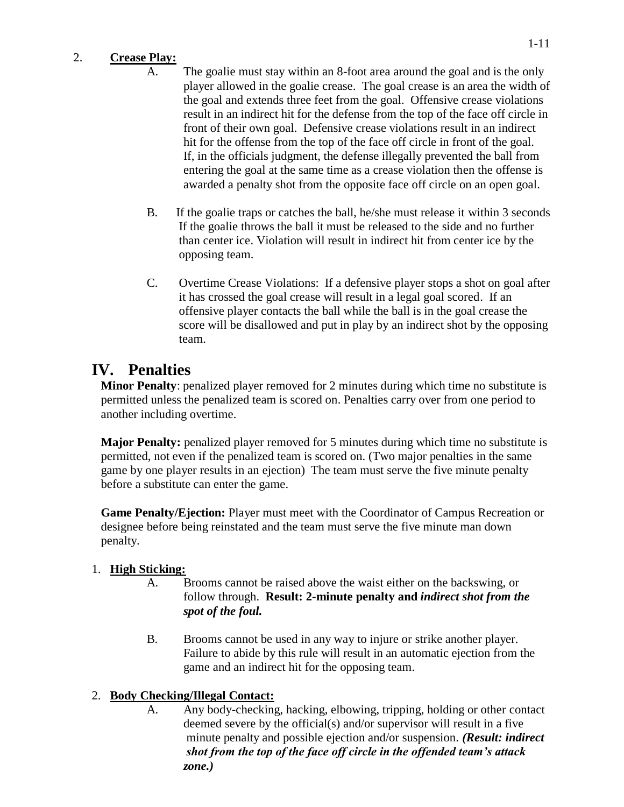### 2. **Crease Play:**

- A. The goalie must stay within an 8-foot area around the goal and is the only player allowed in the goalie crease. The goal crease is an area the width of the goal and extends three feet from the goal. Offensive crease violations result in an indirect hit for the defense from the top of the face off circle in front of their own goal. Defensive crease violations result in an indirect hit for the offense from the top of the face off circle in front of the goal. If, in the officials judgment, the defense illegally prevented the ball from entering the goal at the same time as a crease violation then the offense is awarded a penalty shot from the opposite face off circle on an open goal.
- B. If the goalie traps or catches the ball, he/she must release it within 3 seconds If the goalie throws the ball it must be released to the side and no further than center ice. Violation will result in indirect hit from center ice by the opposing team.
- C. Overtime Crease Violations: If a defensive player stops a shot on goal after it has crossed the goal crease will result in a legal goal scored. If an offensive player contacts the ball while the ball is in the goal crease the score will be disallowed and put in play by an indirect shot by the opposing team.

## **IV. Penalties**

**Minor Penalty**: penalized player removed for 2 minutes during which time no substitute is permitted unless the penalized team is scored on. Penalties carry over from one period to another including overtime.

**Major Penalty:** penalized player removed for 5 minutes during which time no substitute is permitted, not even if the penalized team is scored on. (Two major penalties in the same game by one player results in an ejection) The team must serve the five minute penalty before a substitute can enter the game.

**Game Penalty/Ejection:** Player must meet with the Coordinator of Campus Recreation or designee before being reinstated and the team must serve the five minute man down penalty.

## 1. **High Sticking:**

- A. Brooms cannot be raised above the waist either on the backswing, or follow through. **Result: 2-minute penalty and** *indirect shot from the spot of the foul.*
- B. Brooms cannot be used in any way to injure or strike another player. Failure to abide by this rule will result in an automatic ejection from the game and an indirect hit for the opposing team.

## 2. **Body Checking/Illegal Contact:**

A. Any body-checking, hacking, elbowing, tripping, holding or other contact deemed severe by the official(s) and/or supervisor will result in a five minute penalty and possible ejection and/or suspension. *(Result: indirect shot from the top of the face off circle in the offended team's attack zone.)*